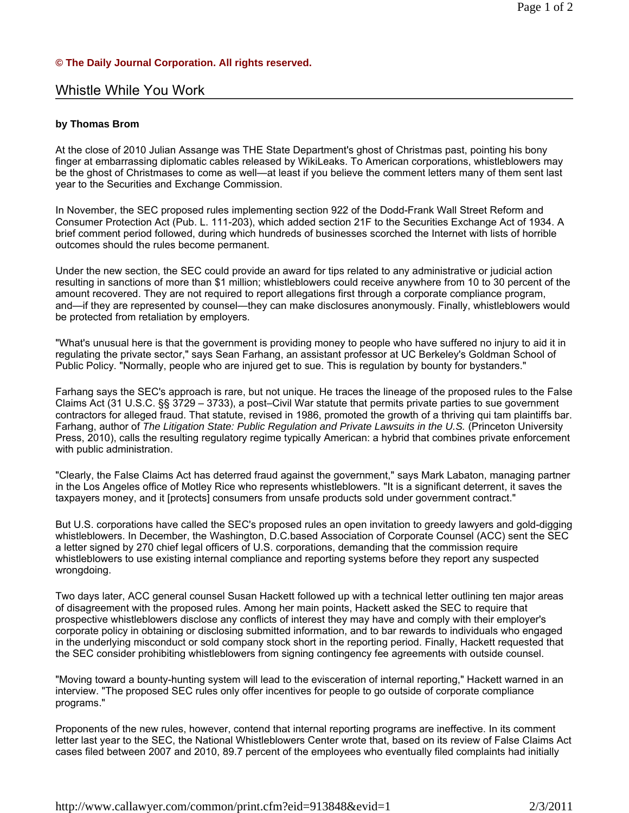## **© The Daily Journal Corporation. All rights reserved.**

## Whistle While You Work

## **by Thomas Brom**

At the close of 2010 Julian Assange was THE State Department's ghost of Christmas past, pointing his bony finger at embarrassing diplomatic cables released by WikiLeaks. To American corporations, whistleblowers may be the ghost of Christmases to come as well—at least if you believe the comment letters many of them sent last year to the Securities and Exchange Commission.

In November, the SEC proposed rules implementing section 922 of the Dodd-Frank Wall Street Reform and Consumer Protection Act (Pub. L. 111-203), which added section 21F to the Securities Exchange Act of 1934. A brief comment period followed, during which hundreds of businesses scorched the Internet with lists of horrible outcomes should the rules become permanent.

Under the new section, the SEC could provide an award for tips related to any administrative or judicial action resulting in sanctions of more than \$1 million; whistleblowers could receive anywhere from 10 to 30 percent of the amount recovered. They are not required to report allegations first through a corporate compliance program, and—if they are represented by counsel—they can make disclosures anonymously. Finally, whistleblowers would be protected from retaliation by employers.

"What's unusual here is that the government is providing money to people who have suffered no injury to aid it in regulating the private sector," says Sean Farhang, an assistant professor at UC Berkeley's Goldman School of Public Policy. "Normally, people who are injured get to sue. This is regulation by bounty for bystanders."

Farhang says the SEC's approach is rare, but not unique. He traces the lineage of the proposed rules to the False Claims Act (31 U.S.C. §§ 3729 – 3733), a post–Civil War statute that permits private parties to sue government contractors for alleged fraud. That statute, revised in 1986, promoted the growth of a thriving qui tam plaintiffs bar. Farhang, author of *The Litigation State: Public Regulation and Private Lawsuits in the U.S.* (Princeton University Press, 2010), calls the resulting regulatory regime typically American: a hybrid that combines private enforcement with public administration.

"Clearly, the False Claims Act has deterred fraud against the government," says Mark Labaton, managing partner in the Los Angeles office of Motley Rice who represents whistleblowers. "It is a significant deterrent, it saves the taxpayers money, and it [protects] consumers from unsafe products sold under government contract."

But U.S. corporations have called the SEC's proposed rules an open invitation to greedy lawyers and gold-digging whistleblowers. In December, the Washington, D.C.based Association of Corporate Counsel (ACC) sent the SEC a letter signed by 270 chief legal officers of U.S. corporations, demanding that the commission require whistleblowers to use existing internal compliance and reporting systems before they report any suspected wrongdoing.

Two days later, ACC general counsel Susan Hackett followed up with a technical letter outlining ten major areas of disagreement with the proposed rules. Among her main points, Hackett asked the SEC to require that prospective whistleblowers disclose any conflicts of interest they may have and comply with their employer's corporate policy in obtaining or disclosing submitted information, and to bar rewards to individuals who engaged in the underlying misconduct or sold company stock short in the reporting period. Finally, Hackett requested that the SEC consider prohibiting whistleblowers from signing contingency fee agreements with outside counsel.

"Moving toward a bounty-hunting system will lead to the evisceration of internal reporting," Hackett warned in an interview. "The proposed SEC rules only offer incentives for people to go outside of corporate compliance programs."

Proponents of the new rules, however, contend that internal reporting programs are ineffective. In its comment letter last year to the SEC, the National Whistleblowers Center wrote that, based on its review of False Claims Act cases filed between 2007 and 2010, 89.7 percent of the employees who eventually filed complaints had initially